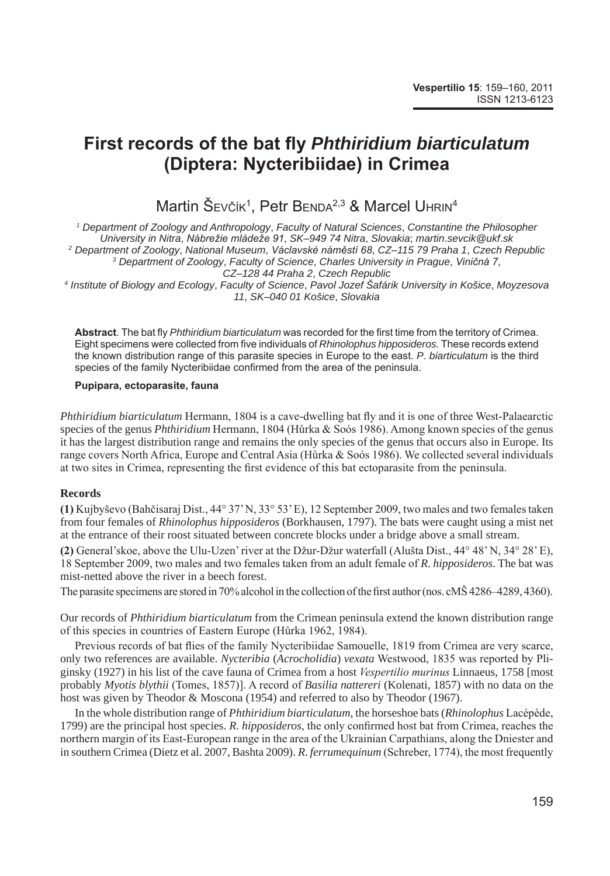# **First records of the bat fly** *Phthiridium biarticulatum* **(Diptera: Nycteribiidae) in Crimea**

Martin Sevčík<sup>1</sup>, Petr Benda<sup>2,3</sup> & Marcel Uhrin<sup>4</sup>

  *Department of Zoology and Anthropology*, *Faculty of Natural Sciences*, *Constantine the Philosopher University in Nitra*, *Nábrežie mládeže 91*, *SK*–*949 74 Nitra*, *Slovakia*; *martin*.*sevcik@ukf*.*sk Department of Zoology*, *National Museum*, *Václavské náměstí 68*, *CZ*–*115 79 Praha 1*, *Czech Republic Department of Zoology*, *Faculty of Science*, *Charles University in Prague*, *Viničná 7*, *CZ*–*128 44 Praha 2*, *Czech Republic Institute of Biology and Ecology*, *Faculty of Science*, *Pavol Jozef Šafárik University in Košice*, *Moyzesova* 

*11*, *SK*–*040 01 Košice*, *Slovakia*

**Abstract**. The bat fly *Phthiridium biarticulatum* was recorded for the first time from the territory of Crimea. Eight specimens were collected from five individuals of *Rhinolophus hipposideros*. These records extend the known distribution range of this parasite species in Europe to the east. *P*. *biarticulatum* is the third species of the family Nycteribiidae confirmed from the area of the peninsula.

#### **Pupipara, ectoparasite, fauna**

*Phthiridium biarticulatum* Hermann, 1804 is a cave-dwelling bat fly and it is one of three West-Palaearctic species of the genus *Phthiridium* Hermann, 1804 (Hůrka & Soós 1986). Among known species of the genus it has the largest distribution range and remains the only species of the genus that occurs also in Europe. Its range covers North Africa, Europe and Central Asia (Hůrka & Soós 1986). We collected several individuals at two sites in Crimea, representing the first evidence of this bat ectoparasite from the peninsula.

## **Records**

**(1)** Kujbyševo (Bahčisaraj Dist., 44° 37' N, 33° 53' E), 12 September 2009, two males and two females taken from four females of *Rhinolophus hipposideros* (Borkhausen, 1797). The bats were caught using a mist net at the entrance of their roost situated between concrete blocks under a bridge above a small stream.

**(2)** General'skoe, above the Ulu-Uzen' river at the Džur-Džur waterfall (Alušta Dist., 44° 48' N, 34° 28' E), 18 September 2009, two males and two females taken from an adult female of *R*. *hipposideros*. The bat was mist-netted above the river in a beech forest.

The parasite specimens are stored in 70% alcohol in the collection of the first author (nos. cMŠ 4286–4289, 4360).

Our records of *Phthiridium biarticulatum* from the Crimean peninsula extend the known distribution range of this species in countries of Eastern Europe (Hůrka 1962, 1984).

Previous records of bat flies of the family Nycteribiidae Samouelle, 1819 from Crimea are very scarce, only two references are available. *Nycteribia* (*Acrocholidia*) *vexata* Westwood, 1835 was reported by Pliginsky (1927) in his list of the cave fauna of Crimea from a host *Vespertilio murinus* Linnaeus, 1758 [most probably *Myotis blythii* (Tomes, 1857)]. A record of *Basilia nattereri* (Kolenati, 1857) with no data on the host was given by Theodor & Moscona (1954) and referred to also by Theodor (1967).

In the whole distribution range of *Phthiridium biarticulatum*, the horseshoe bats (*Rhinolophus* Lacépède, 1799) are the principal host species. *R*. *hipposideros*, the only confirmed host bat from Crimea, reaches the northern margin of its East-European range in the area of the Ukrainian Carpathians, along the Dniester and in southern Crimea (Dietz et al. 2007, Bashta 2009). *R*. *ferrumequinum* (Schreber, 1774), the most frequently